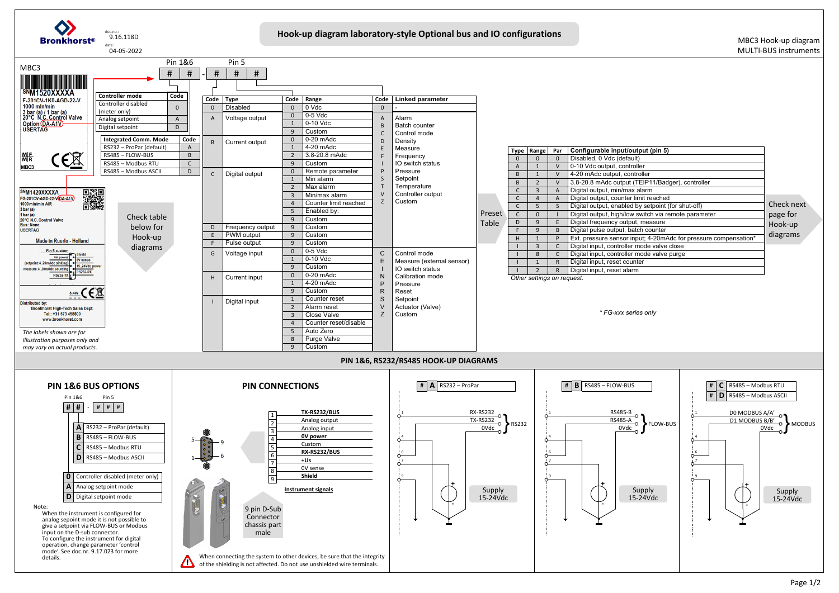

| utput (pin 5)                            |            |
|------------------------------------------|------------|
| ılt)                                     |            |
| oller                                    |            |
| ıtroller                                 |            |
| (TEIP11/Badger), controller              |            |
| k alarm                                  |            |
| limit reached                            |            |
| by setpoint (for shut-off)               | Check next |
| switch via remote parameter              | page for   |
| <i>i</i> t, measure                      | Hook-up    |
| atch counter                             | diagrams   |
| put; 4-20mAdc for pressure compensation* |            |
| mode valve close                         |            |
| mode valve purge                         |            |
| nter                                     |            |
| m                                        |            |
|                                          |            |